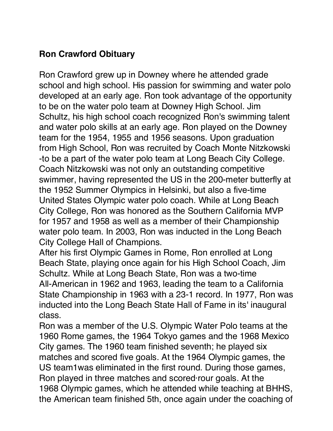## **Ron Crawford Obituary**

Ron Crawford grew up in Downey where he attended grade school and high school. His passion for swimming and water polo developed at an early age. Ron took advantage of the opportunity to be on the water polo team at Downey High School. Jim Schultz, his high school coach recognized Ron's swimming talent and water polo skills at an early age. Ron played on the Downey team for the 1954, 1955 and 1956 seasons. Upon graduation from High School, Ron was recruited by Coach Monte Nitzkowski -to be a part of the water polo team at Long Beach City College. Coach Nitzkowski was not only an outstanding competitive swimmer, having represented the US in the 200-meter butterfly at the 1952 Summer Olympics in Helsinki, but also a five-time United States Olympic water polo coach. While at Long Beach City College, Ron was honored as the Southern California MVP for 1957 and 1958 as well as a member of their Championship water polo team. In 2003, Ron was inducted in the Long Beach City College Hall of Champions.

After his first Olympic Games in Rome, Ron enrolled at Long Beach State, playing once again for his High School Coach, Jim Schultz. While at Long Beach State, Ron was a two-time AllAmerican in 1962 and 1963, leading the team to a California State Championship in 1963 with a 23-1 record. In 1977, Ron was inducted into the Long Beach State Hall of Fame in its' inaugural class.

Ron was a member of the U.S. Olympic Water Polo teams at the 1960 Rome games, the 1964 Tokyo games and the 1968 Mexico City games. The 1960 team finished seventh; he played six matches and scored five goals. At the 1964 Olympic games, the US team1was eliminated in the first round. During those games, Ron played in three matches and scored·rour goals. At the 1968 Olympic games, which he attended while teaching at BHHS, the American team finished 5th, once again under the coaching of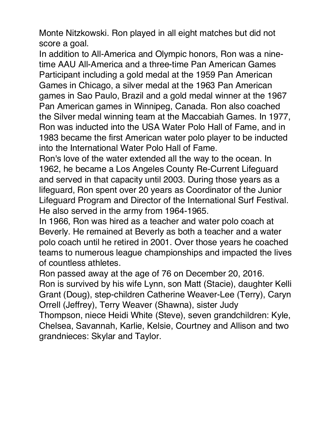Monte Nitzkowski. Ron played in all eight matches but did not score a goal.

In addition to All-America and Olympic honors, Ron was a ninetime AAU All-America and a three-time Pan American Games Participant including a gold medal at the 1959 Pan American Games in Chicago, a silver medal at the 1963 Pan American games in Sao Paulo, Brazil and a gold medal winner at the 1967 Pan American games in Winnipeg, Canada. Ron also coached the Silver medal winning team at the Maccabiah Games. In 1977, Ron was inducted into the USA Water Polo Hall of Fame, and in 1983 became the first American water polo player to be inducted into the International Water Polo Hall of Fame.

Ron's love of the water extended all the way to the ocean. In 1962, he became a Los Angeles County Re-Current Lifeguard and served in that capacity until 2003. During those years as a lifeguard, Ron spent over 20 years as Coordinator of the Junior Lifeguard Program and Director of the International Surf Festival. He also served in the army from 1964-1965.

In 1966, Ron was hired as a teacher and water polo coach at Beverly. He remained at Beverly as both a teacher and a water polo coach until he retired in 2001. Over those years he coached teams to numerous league championships and impacted the lives of countless athletes.

Ron passed away at the age of 76 on December 20, 2016. Ron is survived by his wife Lynn, son Matt (Stacie), daughter Kelli Grant (Doug), step-children Catherine Weaver-Lee (Terry), Caryn Orrell (Jeffrey), Terry Weaver (Shawna), sister Judy

Thompson, niece Heidi White (Steve), seven grandchildren: Kyle, Chelsea, Savannah, Karlie, Kelsie, Courtney and Allison and two grandnieces: Skylar and Taylor.